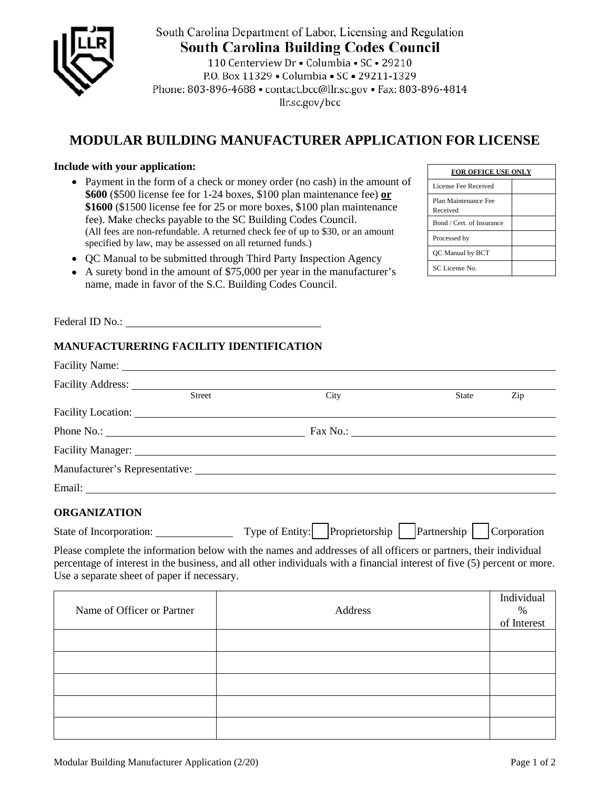

South Carolina Department of Labor, Licensing and Regulation **South Carolina Building Codes Council** 

110 Centerview Dr · Columbia · SC · 29210 P.O. Box 11329 . Columbia . SC . 29211-1329 Phone: 803-896-4688 · contact.bcc@llr.sc.gov · Fax: 803-896-4814 llr.sc.gov/bcc

## **MODULAR BUILDING MANUFACTURER APPLICATION FOR LICENSE**

## **Include with your application:**

- Payment in the form of a check or money order (no cash) in the amount of **\$600** (\$500 license fee for 1-24 boxes, \$100 plan maintenance fee) **or \$1600** (\$1500 license fee for 25 or more boxes, \$100 plan maintenance fee). Make checks payable to the SC Building Codes Council. (All fees are non-refundable. A returned check fee of up to \$30, or an amount specified by law, may be assessed on all returned funds.)
- QC Manual to be submitted through Third Party Inspection Agency
- A surety bond in the amount of \$75,000 per year in the manufacturer's name, made in favor of the S.C. Building Codes Council.

**FOR OFFICE USE ONLY** License Fee Received Plan Maintenance Fee Received Bond / Cert. of Insurance Processed by QC Manual by BCT SC License No.

Federal ID No.: \_

## **MANUFACTURERING FACILITY IDENTIFICATION**

| Facility Address:                           |                                                                                                                                                                                                                                              |                                   |
|---------------------------------------------|----------------------------------------------------------------------------------------------------------------------------------------------------------------------------------------------------------------------------------------------|-----------------------------------|
| Street                                      | City                                                                                                                                                                                                                                         | Zip<br><b>State</b>               |
|                                             | Facility Location: The Contract of the Contract of the Contract of the Contract of the Contract of the Contract of the Contract of the Contract of the Contract of the Contract of the Contract of the Contract of the Contrac               |                                   |
|                                             |                                                                                                                                                                                                                                              |                                   |
|                                             | Facility Manager: National Accounts and Accounts and Accounts and Accounts and Accounts and Accounts and Accounts and Accounts and Accounts and Accounts and Accounts and Accounts and Accounts and Accounts and Accounts and                |                                   |
|                                             |                                                                                                                                                                                                                                              |                                   |
|                                             |                                                                                                                                                                                                                                              |                                   |
| <b>ORGANIZATION</b>                         |                                                                                                                                                                                                                                              |                                   |
|                                             | State of Incorporation: Type of Entity: Proprietorship   Partnership   Corporation                                                                                                                                                           |                                   |
| Use a separate sheet of paper if necessary. | Please complete the information below with the names and addresses of all officers or partners, their individual<br>percentage of interest in the business, and all other individuals with a financial interest of five (5) percent or more. |                                   |
| Name of Officer or Partner                  | Address                                                                                                                                                                                                                                      | Individual<br>$\%$<br>of Interest |
|                                             |                                                                                                                                                                                                                                              |                                   |
|                                             |                                                                                                                                                                                                                                              |                                   |
|                                             |                                                                                                                                                                                                                                              |                                   |
|                                             |                                                                                                                                                                                                                                              |                                   |